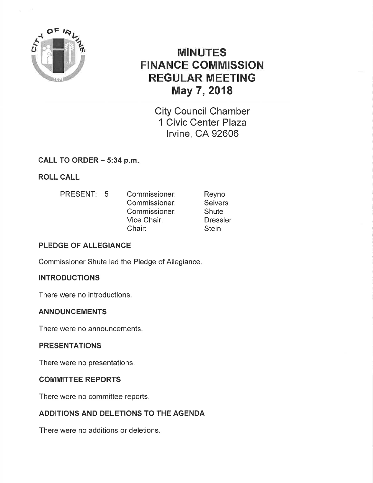

# MINUTES FINANGE GOMMISSION REGULAR MEETING May 7,2018

City Council Chamber 1 Civic Center Plaza lrvine, CA 92606

CALL TO ORDER  $-5:34$  p.m.

ROLL CALL

PRESENT: 5 Commissioner: Commissioner: Commissioner: Vice Chair: Chair: Reyno **Seivers Shute** Dressler **Stein** 

# PLEDGE OF ALLEGIANCE

Commissioner Shute led the Pledge of Allegiance.

# INTRODUCTIONS

There were no introductions.

# ANNOUNCEMENTS

There were no announcements.

# PRESENTATIONS

There were no presentations.

# COMMITTEE REPORTS

There were no committee reports.

# ADDITIONS AND DELETIONS TO THE AGENDA

There were no additions or deletions.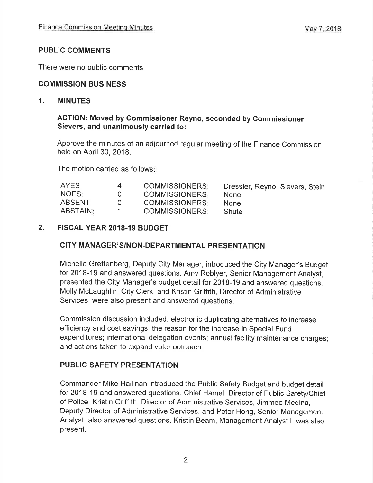# PUBLIC COMMENTS

There were no public comments.

# COMMISSION BUSINESS

### 1. MINUTES

#### ACTION: Moved by commissioner Reyno, seconded by Gommissioner Sievers, and unanimously carried to:

Approve the minutes of an adjourned regular meeting of the Finance Commission held on April 30, 2018.

The motion carried as follows

| AYES:    | $\overline{a}$ | <b>COMMISSIONERS:</b> | Dressler, Reyno, Sievers, Stein |
|----------|----------------|-----------------------|---------------------------------|
| NOES:    | $\cup$         | COMMISSIONERS:        | <b>None</b>                     |
| ABSENT:  | 1 I            | <b>COMMISSIONERS:</b> | <b>None</b>                     |
| ABSTAIN: |                | <b>COMMISSIONERS:</b> | <b>Shute</b>                    |

# 2, FISCAL YEAR 2018-19 BUDGET

# CITY MANAGER'S/NON.DEPARTMENTAL PRESENTATION

Michelle Grettenberg, Deputy City Manager, introduced the City Manager's Budget for 2018-19 and answered questions, Amy Roblyer, Senior Management Analyst, presented the City Manager's budget detail for 2018-19 and answered questions. Molly Mclaughlin, City Clerk, and Kristin Griffith, Director of Administrative Services, were also present and answered questions,

Commission discussion included: electronic duplicating alternatives to increase efficiency and cost savings; the reason for the increase in Special Fund expenditures; international delegation events; annual facility maintenance charges; and actions taken to expand voter outreach.

# PUBLIC SAFETY PRESENTATION

Commander Mike Hallinan introduced the Public Safety Budget and budget detail for 2018-19 and answered questions. Chief Hamel, Director of Public Safety/Chief of Police, Kristin Griffith, Director of Administrative Services, Jimmee Medina, Deputy Director of Administrative Services, and Peter Hong, Senior Management Analyst, also answered questions. Kristin Beam, Management Analyst l, was also present.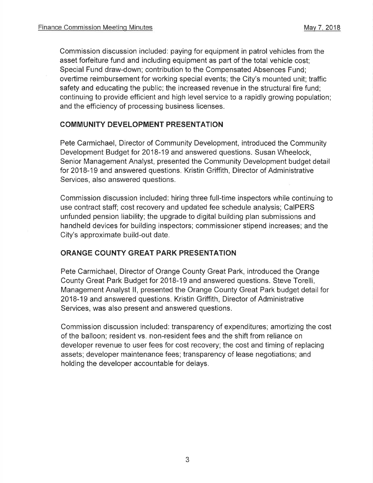Commission discussion included: paying for equipment in patrol vehicles from the asset forfeiture fund and including equipment as part of the total vehicle cost; Special Fund draw-down; contribution to the Compensated Absences Fund; overtime reimbursement for working special events; the City's mounted unit; traffic safety and educating the public; the increased revenue in the structural fire fund; continuing to provide efficient and high level service to a rapidly growing population; and the efficiency of processing business licenses.

#### COMMUNITY DEVELOPMENT PRESENTATION

Pete Carmichael, Director of Community Development, introduced the Community Development Budget for 2018-19 and answered questions. Susan Wheelock, Senior Management Analyst, presented the Community Development budget detail for 2018-19 and answered questions. Kristin Griffith, Director of Administrative Services, also answered questions.

Commission discussion included: hiring three full-time inspectors while continuing to use contract staff; cost recovery and updated fee schedule analysis; CaIPERS unfunded pension liability; the upgrade to digital building plan submissions and handheld devices for building inspectors; commissioner stipend increases; and the City's approximate build-out date.

# ORANGE COUNTY GREAT PARK PRESENTATION

Pete Carmichael, Director of Orange County Great Park, introduced the Orange County Great Park Budget for 2018-19 and answered questions. Steve Torelli, Management Analyst ll, presented the Orange County Great Park budget detail for 2018-19 and answered questions. Kristin Griffith, Director of Administrative Services, was also present and answered questions.

Commission discussion included: transparency of expenditures; amortizing the cost of the balloon; resident vs. non-resident fees and the shift from reliance on developer revenue to user fees for cost recovery; the cost and timing of replacing assets; developer maintenance fees; transparency of lease negotiations; and holding the developer accountable for delays.